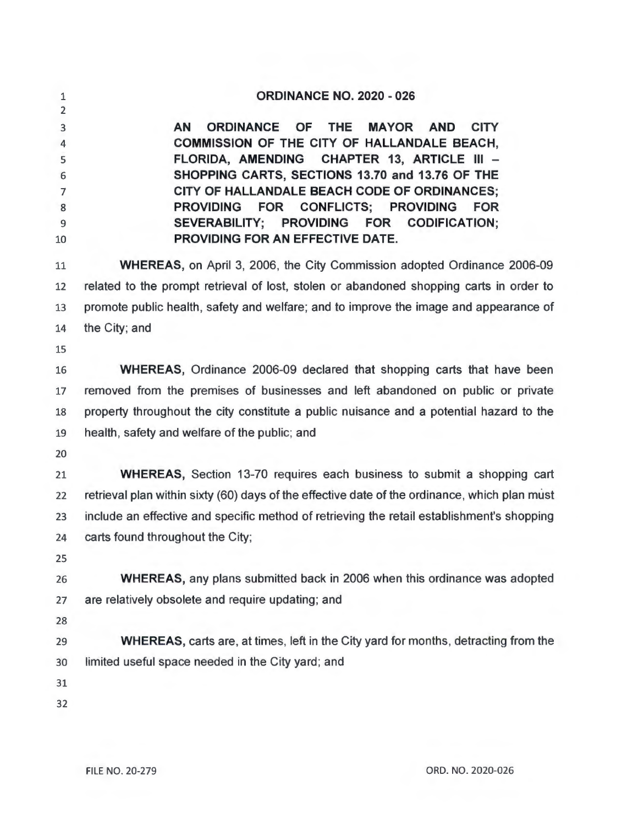**ORDINANCE NO. 2020 - 026 AN ORDINANCE OF THE MAYOR AND CITY COMMISSION OF THE CITY OF HALLANDALE BEACH, FLORIDA, AMENDING CHAPTER 13, ARTICLE 111** - **SHOPPING CARTS, SECTIONS 13.70 and 13.76 OF THE CITY OF HALLANDALE BEACH CODE OF ORDINANCES; PROVIDING FOR CONFLICTS; PROVIDING FOR SEVERABILITY; PROVIDING FOR CODIFICATION; PROVIDING FOR AN EFFECTIVE DATE. WHEREAS,** on April 3, 2006, the City Commission adopted Ordinance 2006-09 related to the prompt retrieval of lost, stolen or abandoned shopping carts in order to 13 promote public health, safety and welfare; and to improve the image and appearance of the City; and **WHEREAS,** Ordinance 2006-09 declared that shopping carts that have been removed from the premises of businesses and left abandoned on public or private property throughout the city constitute a public nuisance and a potential hazard to the health, safety and welfare of the public; and **WHEREAS,** Section 13-70 requires each business to submit a shopping cart retrieval plan within sixty (60) days of the effective date of the ordinance, which plan must 23 include an effective and specific method of retrieving the retail establishment's shopping 24 carts found throughout the City; **WHEREAS,** any plans submitted back in 2006 when this ordinance was adopted 27 are relatively obsolete and require updating; and **WHEREAS,** carts are, at times, left in the City yard for months, detracting from the 30 limited useful space needed in the City yard; and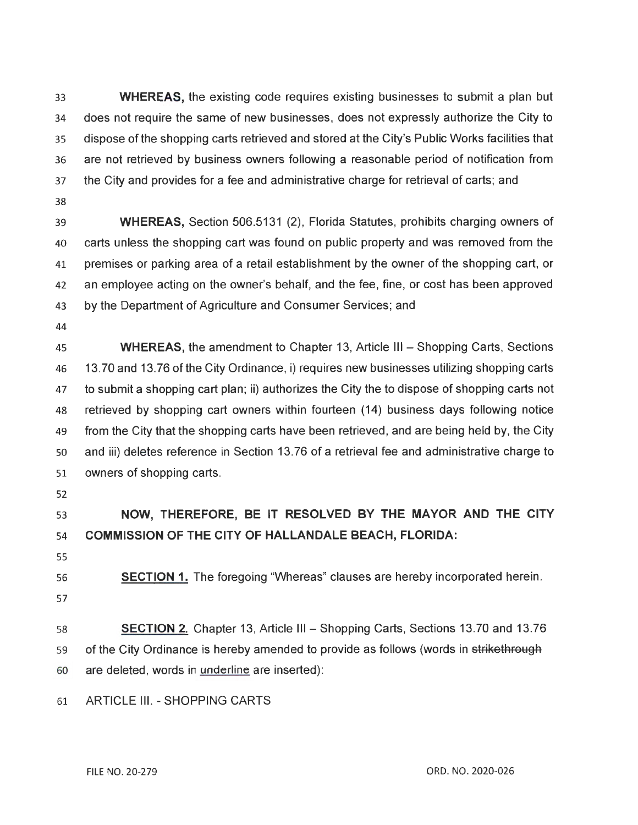**WHEREAS,** the existing code requires existing businesses to submit a plan but does not require the same of new businesses, does not expressly authorize the City to dispose of the shopping carts retrieved and stored at the City's Public Works facilities that are not retrieved by business owners following a reasonable period of notification from 37 the City and provides for a fee and administrative charge for retrieval of carts; and

**WHEREAS,** Section 506.5131 (2), Florida Statutes, prohibits charging owners of carts unless the shopping cart was found on public property and was removed from the premises or parking area of a retail establishment by the owner of the shopping cart, or 42 an employee acting on the owner's behalf, and the fee, fine, or cost has been approved by the Department of Agriculture and Consumer Services; and

**WHEREAS, the amendment to Chapter 13, Article III – Shopping Carts, Sections** 46 13.70 and 13.76 of the City Ordinance, i) requires new businesses utilizing shopping carts to submit a shopping cart plan; ii) authorizes the City the to dispose of shopping carts not retrieved by shopping cart owners within fourteen (14) business days following notice from the City that the shopping carts have been retrieved , and are being held by, the City so and iii) deletes reference in Section 13. 76 of a retrieval fee and administrative charge to owners of shopping carts.

- 
- 

**NOW, THEREFORE, BE IT RESOLVED BY THE MAYOR AND THE CITY COMMISSION OF THE CITY OF HALLANDALE BEACH, FLORIDA:** 

**SECTION 1.** The foregoing "Whereas" clauses are hereby incorporated herein.

**SECTION 2.** Chapter 13, Article 111 - Shopping Carts, Sections 13. 70 and 13. 76 59 of the City Ordinance is hereby amended to provide as follows (words in strikethrough 60 are deleted, words in underline are inserted):

ARTICLE Ill. - SHOPPING CARTS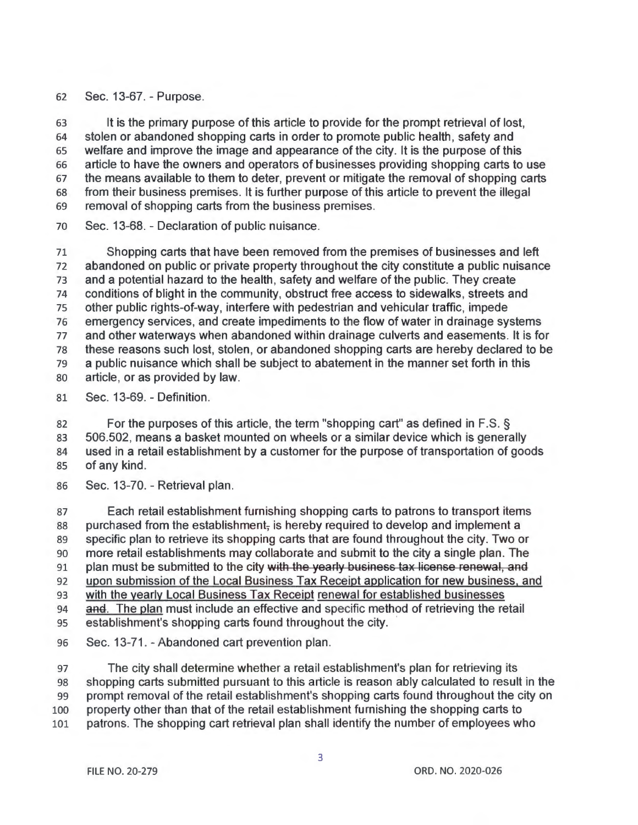62 Sec. 13-67. - Purpose.

63 It is the primary purpose of this article to provide for the prompt retrieval of lost, 64 stolen or abandoned shopping carts in order to promote public health, safety and 65 welfare and improve the image and appearance of the city. It is the purpose of this 66 article to have the owners and operators of businesses providing shopping carts to use 67 the means available to them to deter, prevent or mitigate the removal of shopping carts 68 from their business premises. It is further purpose of this article to prevent the illegal 69 removal of shopping carts from the business premises.

70 Sec. 13-68. - Declaration of public nuisance.

71 Shopping carts that have been removed from the premises of businesses and left 72 abandoned on public or private property throughout the city constitute a public nuisance 73 and a potential hazard to the health, safety and welfare of the public. They create 74 conditions of blight in the community, obstruct free access to sidewalks, streets and 75 other public rights-of-way, interfere with pedestrian and vehicular traffic, impede 76 emergency services, and create impediments to the flow of water in drainage systems 77 and other waterways when abandoned within drainage culverts and easements. It is for 78 these reasons such lost, stolen, or abandoned shopping carts are hereby declared to be 79 a public nuisance which shall be subject to abatement in the manner set forth in this 80 article, or as provided by law.

81 Sec. 13-69. - Definition.

82 For the purposes of this article, the term "shopping cart" as defined in F.S. § 83 506.502, means a basket mounted on wheels or a similar device which is generally 84 used in a retail establishment by a customer for the purpose of transportation of goods 85 of any kind.

86 Sec. 13-70. - Retrieval plan.

87 Each retail establishment furnishing shopping carts to patrons to transport items 88 purchased from the establishment, is hereby required to develop and implement a 89 specific plan to retrieve its shopping carts that are found throughout the city. Two or 90 more retail establishments may collaborate and submit to the city a single plan. The 91 plan must be submitted to the city with the yearly business tax license renewal, and 92 upon submission of the Local Business Tax Receipt application for new business, and 93 with the yearly Local Business Tax Receipt renewal for established businesses 94 and. The plan must include an effective and specific method of retrieving the retail 95 establishment's shopping carts found throughout the city.

96 Sec. 13-71 . - Abandoned cart prevention plan.

97 The city shall determine whether a retail establishment's plan for retrieving its 98 shopping carts submitted pursuant to this article is reason ably calculated to result in the 99 prompt removal of the retail establishment's shopping carts found throughout the city on 100 property other than that of the retail establishment furnishing the shopping carts to 101 patrons. The shopping cart retrieval plan shall identify the number of employees who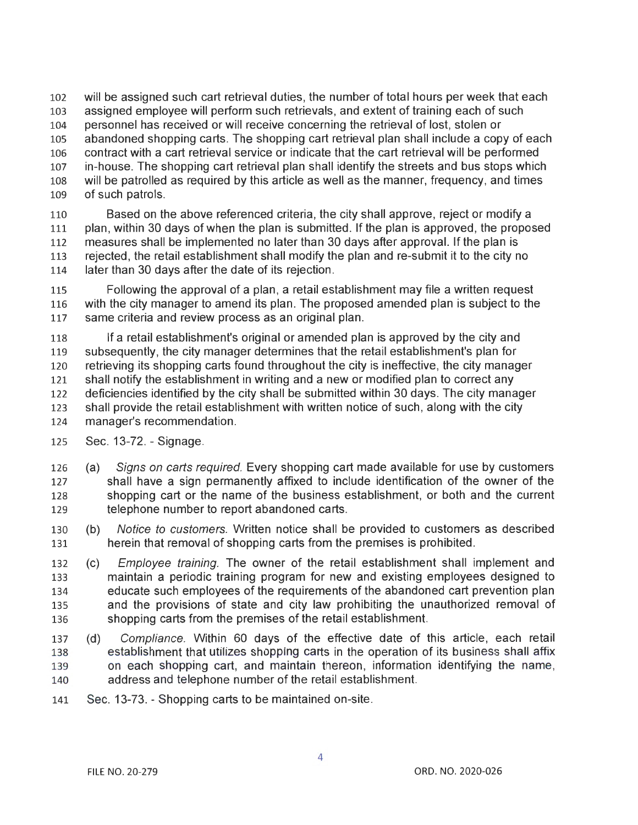will be assigned such cart retrieval duties, the number of total hours per week that each assigned employee will perform such retrievals, and extent of training each of such personnel has received or will receive concerning the retrieval of lost, stolen or abandoned shopping carts. The shopping cart retrieval plan shall include a copy of each contract with a cart retrieval service or indicate that the cart retrieval will be performed in-house. The shopping cart retrieval plan shall identify the streets and bus stops which will be patrolled as required by this article as well as the manner, frequency, and times of such patrols.

Based on the above referenced criteria, the city shall approve, reject or modify a plan, within 30 days of when the plan is submitted. If the plan is approved , the proposed measures shall be implemented no later than 30 days after approval. If the plan is 113 rejected, the retail establishment shall modify the plan and re-submit it to the city no 114 later than 30 days after the date of its rejection.

Following the approval of a plan, a retail establishment may file a written request with the city manager to amend its plan. The proposed amended plan is subject to the same criteria and review process as an original plan.

If a retail establishment's original or amended plan is approved by the city and subsequently, the city manager determines that the retail establishment's plan for retrieving its shopping carts found throughout the city is ineffective, the city manager shall notify the establishment in writing and a new or modified plan to correct any deficiencies identified by the city shall be submitted within 30 days. The city manager shall provide the retail establishment with written notice of such, along with the city manager's recommendation.

- Sec. 13-72. Signage.
- (a) Signs on carts required. Every shopping cart made available for use by customers shall have a sign permanently affixed to include identification of the owner of the shopping cart or the name of the business establishment, or both and the current telephone number to report abandoned carts.
- (b) Notice to customers. Written notice shall be provided to customers as described herein that removal of shopping carts from the premises is prohibited.
- (c) Employee training. The owner of the retail establishment shall implement and maintain a periodic training program for new and existing employees designed to educate such employees of the requirements of the abandoned cart prevention plan and the provisions of state and city law prohibiting the unauthorized removal of shopping carts from the premises of the retail establishment.
- (d) Compliance. Within 60 days of the effective date of this article, each retail establishment that utilizes shopping carts in the operation of its business shall affix 139 on each shopping cart, and maintain thereon, information identifying the name, address and telephone number of the retail establishment.
- Sec. 13-73. Shopping carts to be maintained on-site.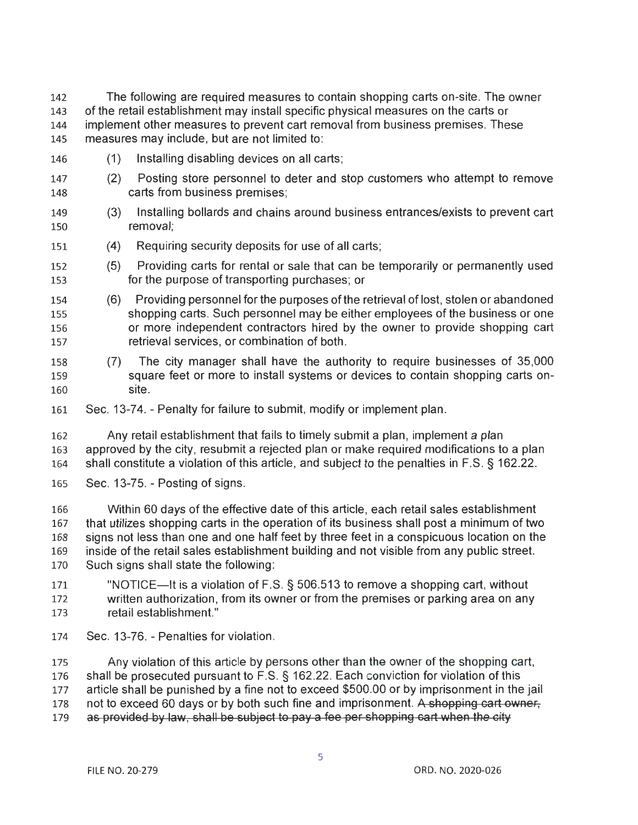The following are required measures to contain shopping carts on-site. The owner of the retail establishment may install specific physical measures on the carts or implement other measures to prevent cart removal from business premises. These measures may include, but are not limited to:

- (1) Installing disabling devices on all carts;
- (2) Posting store personnel to deter and stop customers who attempt to remove carts from business premises;
- (3) Installing bollards and chains around business entrances/exists to prevent cart removal;
- (4) Requiring security deposits for use of all carts;
- (5) Providing carts for rental or sale that can be temporarily or permanently used for the purpose of transporting purchases; or
- (6) Providing personnel for the purposes of the retrieval of lost, stolen or abandoned shopping carts. Such personnel may be either employees of the business or one or more independent contractors hired by the owner to provide shopping cart retrieval services, or combination of both.
- (7) The city manager shall have the authority to require businesses of 35,000 square feet or more to install systems or devices to contain shopping carts on-site.
- Sec. 13-74. Penalty for failure to submit, modify or implement plan.

Any retail establishment that fails to timely submit a plan, implement a plan approved by the city, resubmit a rejected plan or make required modifications to a plan shall constitute a violation of this article, and subject to the penalties in F.S. § 162.22.

Sec. 13-75. - Posting of signs.

Within 60 days of the effective date of this article, each retail sales establishment that utilizes shopping carts in the operation of its business shall post a minimum of two signs not less than one and one half feet by three feet in a conspicuous location on the inside of the retail sales establishment building and not visible from any public street. Such signs shall state the following:

- "NOTICE-It is a violation of F.S. § 506.513 to remove a shopping cart, without written authorization, from its owner or from the premises or parking area on any retail establishment."
- Sec. 13-76. Penalties for violation .

Any violation of this article by persons other than the owner of the shopping cart, shall be prosecuted pursuant to F.S. § 162.22. Each conviction for violation of this article shall be punished by a fine not to exceed \$500.00 or by imprisonment in the jail 178 not to exceed 60 days or by both such fine and imprisonment. A shopping cart owner, 179 as provided by law, shall be subject to pay a fee per shopping cart when the city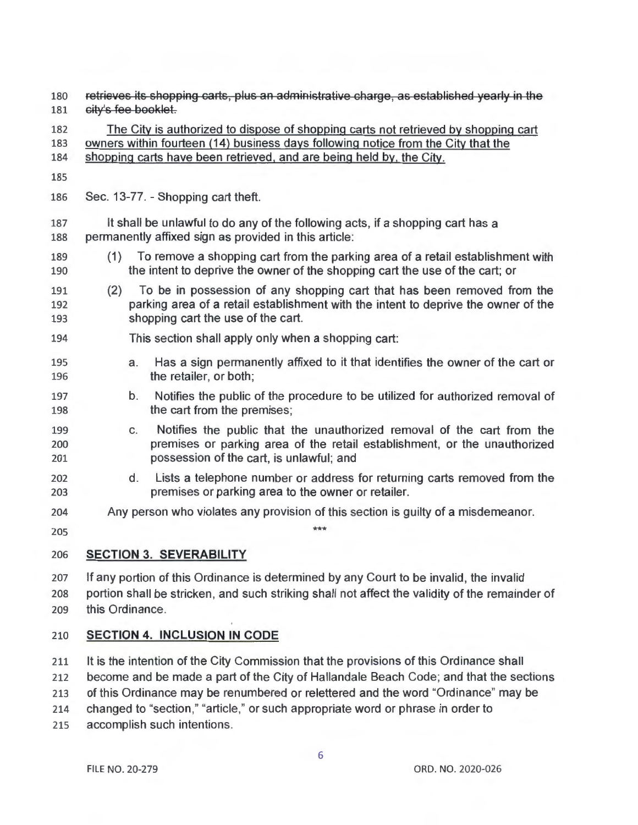| 180<br>181        | retrieves its shopping carts, plus an administrative charge, as established yearly in the<br>city's fee booklet.                                                                                                                                |  |  |
|-------------------|-------------------------------------------------------------------------------------------------------------------------------------------------------------------------------------------------------------------------------------------------|--|--|
| 182<br>183<br>184 | The City is authorized to dispose of shopping carts not retrieved by shopping cart<br>owners within fourteen (14) business days following notice from the City that the<br>shopping carts have been retrieved, and are being held by, the City. |  |  |
| 185               |                                                                                                                                                                                                                                                 |  |  |
| 186               | Sec. 13-77. - Shopping cart theft.                                                                                                                                                                                                              |  |  |
| 187<br>188        | It shall be unlawful to do any of the following acts, if a shopping cart has a<br>permanently affixed sign as provided in this article:                                                                                                         |  |  |
| 189<br>190        | To remove a shopping cart from the parking area of a retail establishment with<br>(1)<br>the intent to deprive the owner of the shopping cart the use of the cart; or                                                                           |  |  |
| 191<br>192<br>193 | To be in possession of any shopping cart that has been removed from the<br>(2)<br>parking area of a retail establishment with the intent to deprive the owner of the<br>shopping cart the use of the cart.                                      |  |  |
| 194               | This section shall apply only when a shopping cart:                                                                                                                                                                                             |  |  |
| 195<br>196        | Has a sign permanently affixed to it that identifies the owner of the cart or<br>a.<br>the retailer, or both;                                                                                                                                   |  |  |
| 197<br>198        | Notifies the public of the procedure to be utilized for authorized removal of<br>b.<br>the cart from the premises;                                                                                                                              |  |  |
| 199<br>200<br>201 | Notifies the public that the unauthorized removal of the cart from the<br>C.<br>premises or parking area of the retail establishment, or the unauthorized<br>possession of the cart, is unlawful; and                                           |  |  |
| 202<br>203        | Lists a telephone number or address for returning carts removed from the<br>d.<br>premises or parking area to the owner or retailer.                                                                                                            |  |  |
| 204               | Any person who violates any provision of this section is guilty of a misdemeanor.                                                                                                                                                               |  |  |
| 205               | ***                                                                                                                                                                                                                                             |  |  |
|                   |                                                                                                                                                                                                                                                 |  |  |

## **SECTION 3. SEVERABILITY**

 If any portion of this Ordinance is determined by any Court to be invalid, the invalid portion shall be stricken, and such striking shall not affect the validity of the remainder of this Ordinance.

## **SECTION 4. INCLUSION IN CODE**

 It is the intention of the City Commission that the provisions of this Ordinance shall

 become and be made a part of the City of Hallandale Beach Code; and that the sections

 of this Ordinance may be renumbered or relettered and the word "Ordinance" may be

 changed to "section," "article," or such appropriate word or phrase in order to

 accomplish such intentions.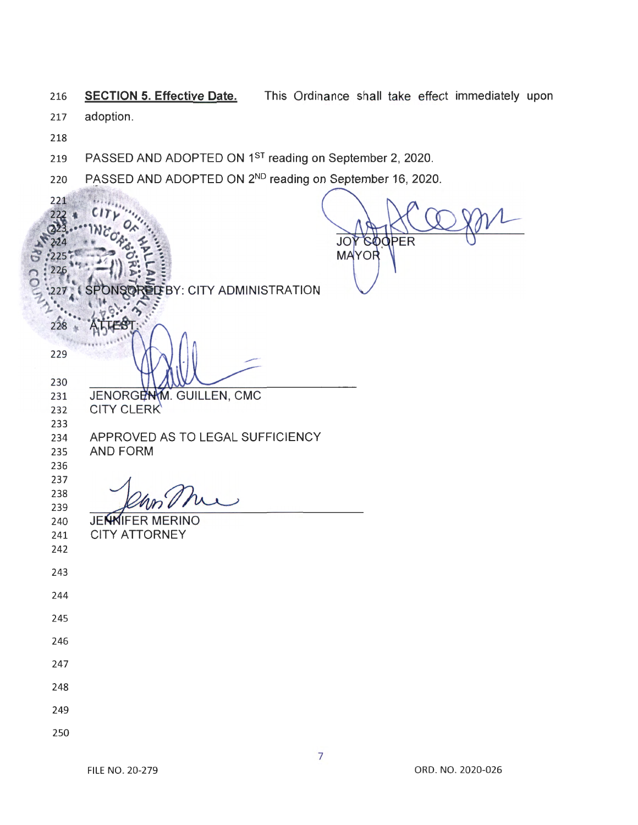**SECTION 5. Effective Date.**  This Ordinance shall take effect immediately upon

- adoption.
- 
- 219 PASSED AND ADOPTED ON 1<sup>ST</sup> reading on September 2, 2020.
- PASSED AND ADOPTED ON 2ND reading on September 16, 2020.

W.  $CITV$ JO' **GOOPER MAYOR ELEBY: CITY ADMINISTRATION**  JENORGENM. GUILLEN, CMC CITY CLERK APPROVED AS TO LEGAL SUFFICIENCY AND FORM **JENNIFER MERINO**  CITY ATTORNEY